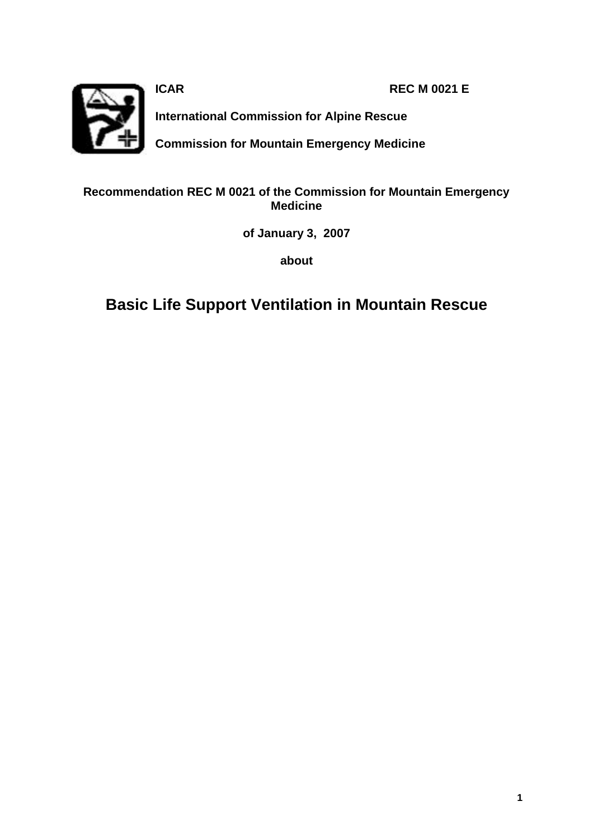

**ICAR REC M 0021 E** 

**International Commission for Alpine Rescue**

**Commission for Mountain Emergency Medicine**

# **Recommendation REC M 0021 of the Commission for Mountain Emergency Medicine**

**of January 3, 2007**

**about** 

**Basic Life Support Ventilation in Mountain Rescue**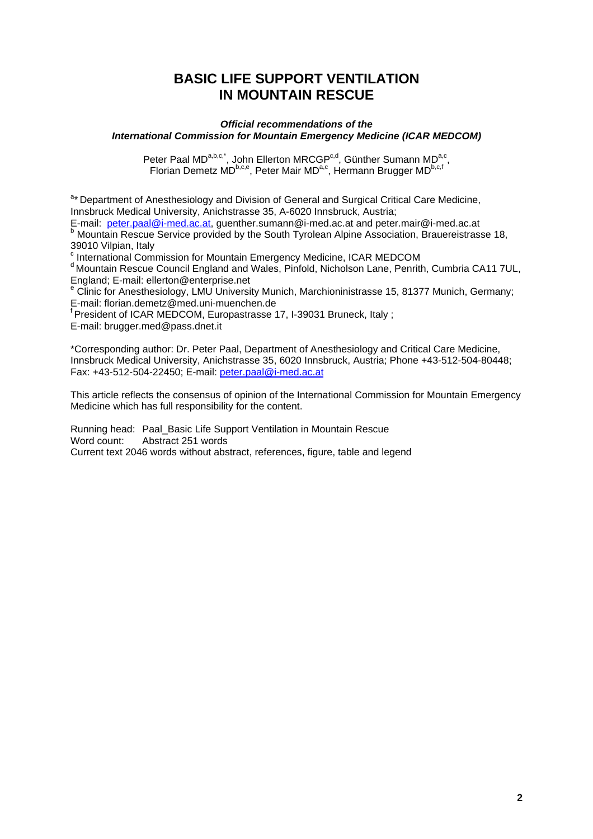# **BASIC LIFE SUPPORT VENTILATION IN MOUNTAIN RESCUE**

### *Official recommendations of the International Commission for Mountain Emergency Medicine (ICAR MEDCOM)*

Peter Paal MD<sup>a,b,c,\*</sup>, John Ellerton MRCGP<sup>c,d</sup>, Günther Sumann MD<sup>a,c</sup>, Florian Demetz MD<sup>b,c,e</sup>, Peter Mair MD<sup>a,c</sup>, Hermann Brugger MD<sup>b,c,f</sup>

<sup>a\*</sup> Department of Anesthesiology and Division of General and Surgical Critical Care Medicine, Innsbruck Medical University, Anichstrasse 35, A-6020 Innsbruck, Austria;

E-mail: peter.paal@i-med.ac.at, guenther.sumann@i-med.ac.at and peter.mair@i-med.ac.at **b** Mountain Rescue Service provided by the South Tyrolean Alpine Association, Brauereistrasse 18, 39010 Vilpian, Italy

<sup>c</sup> International Commission for Mountain Emergency Medicine, ICAR MEDCOM

d Mountain Rescue Council England and Wales, Pinfold, Nicholson Lane, Penrith, Cumbria CA11 7UL, England; E-mail: ellerton@enterprise.net

e Clinic for Anesthesiology, LMU University Munich, Marchioninistrasse 15, 81377 Munich, Germany; E-mail: florian.demetz@med.uni-muenchen.de

<sup>f</sup> President of ICAR MEDCOM, Europastrasse 17, I-39031 Bruneck, Italy ; E-mail: brugger.med@pass.dnet.it

\*Corresponding author: Dr. Peter Paal, Department of Anesthesiology and Critical Care Medicine, Innsbruck Medical University, Anichstrasse 35, 6020 Innsbruck, Austria; Phone +43-512-504-80448; Fax: +43-512-504-22450; E-mail: peter.paal@i-med.ac.at

This article reflects the consensus of opinion of the International Commission for Mountain Emergency Medicine which has full responsibility for the content.

Running head: Paal\_Basic Life Support Ventilation in Mountain Rescue Word count: Abstract 251 words Current text 2046 words without abstract, references, figure, table and legend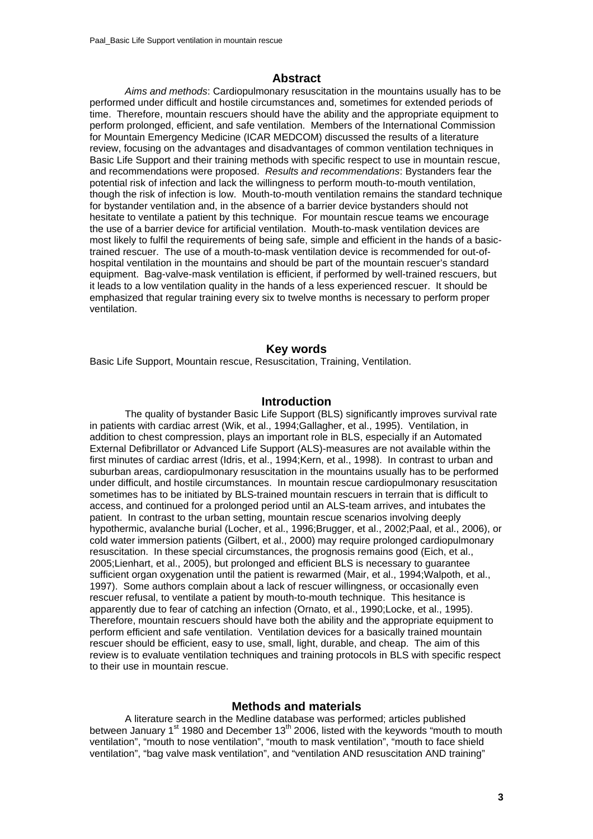# **Abstract**

*Aims and methods*: Cardiopulmonary resuscitation in the mountains usually has to be performed under difficult and hostile circumstances and, sometimes for extended periods of time. Therefore, mountain rescuers should have the ability and the appropriate equipment to perform prolonged, efficient, and safe ventilation. Members of the International Commission for Mountain Emergency Medicine (ICAR MEDCOM) discussed the results of a literature review, focusing on the advantages and disadvantages of common ventilation techniques in Basic Life Support and their training methods with specific respect to use in mountain rescue, and recommendations were proposed. *Results and recommendations*: Bystanders fear the potential risk of infection and lack the willingness to perform mouth-to-mouth ventilation, though the risk of infection is low. Mouth-to-mouth ventilation remains the standard technique for bystander ventilation and, in the absence of a barrier device bystanders should not hesitate to ventilate a patient by this technique. For mountain rescue teams we encourage the use of a barrier device for artificial ventilation. Mouth-to-mask ventilation devices are most likely to fulfil the requirements of being safe, simple and efficient in the hands of a basictrained rescuer. The use of a mouth-to-mask ventilation device is recommended for out-ofhospital ventilation in the mountains and should be part of the mountain rescuer's standard equipment. Bag-valve-mask ventilation is efficient, if performed by well-trained rescuers, but it leads to a low ventilation quality in the hands of a less experienced rescuer. It should be emphasized that regular training every six to twelve months is necessary to perform proper ventilation.

# **Key words**

Basic Life Support, Mountain rescue, Resuscitation, Training, Ventilation.

## **Introduction**

The quality of bystander Basic Life Support (BLS) significantly improves survival rate in patients with cardiac arrest (Wik, et al., 1994;Gallagher, et al., 1995). Ventilation, in addition to chest compression, plays an important role in BLS, especially if an Automated External Defibrillator or Advanced Life Support (ALS)-measures are not available within the first minutes of cardiac arrest (Idris, et al., 1994;Kern, et al., 1998). In contrast to urban and suburban areas, cardiopulmonary resuscitation in the mountains usually has to be performed under difficult, and hostile circumstances. In mountain rescue cardiopulmonary resuscitation sometimes has to be initiated by BLS-trained mountain rescuers in terrain that is difficult to access, and continued for a prolonged period until an ALS-team arrives, and intubates the patient. In contrast to the urban setting, mountain rescue scenarios involving deeply hypothermic, avalanche burial (Locher, et al., 1996;Brugger, et al., 2002;Paal, et al., 2006), or cold water immersion patients (Gilbert, et al., 2000) may require prolonged cardiopulmonary resuscitation. In these special circumstances, the prognosis remains good (Eich, et al., 2005;Lienhart, et al., 2005), but prolonged and efficient BLS is necessary to guarantee sufficient organ oxygenation until the patient is rewarmed (Mair, et al., 1994;Walpoth, et al., 1997). Some authors complain about a lack of rescuer willingness, or occasionally even rescuer refusal, to ventilate a patient by mouth-to-mouth technique. This hesitance is apparently due to fear of catching an infection (Ornato, et al., 1990;Locke, et al., 1995). Therefore, mountain rescuers should have both the ability and the appropriate equipment to perform efficient and safe ventilation. Ventilation devices for a basically trained mountain rescuer should be efficient, easy to use, small, light, durable, and cheap. The aim of this review is to evaluate ventilation techniques and training protocols in BLS with specific respect to their use in mountain rescue.

# **Methods and materials**

A literature search in the Medline database was performed; articles published between January 1<sup>st</sup> 1980 and December 13<sup>th</sup> 2006, listed with the keywords "mouth to mouth ventilation", "mouth to nose ventilation", "mouth to mask ventilation", "mouth to face shield ventilation", "bag valve mask ventilation", and "ventilation AND resuscitation AND training"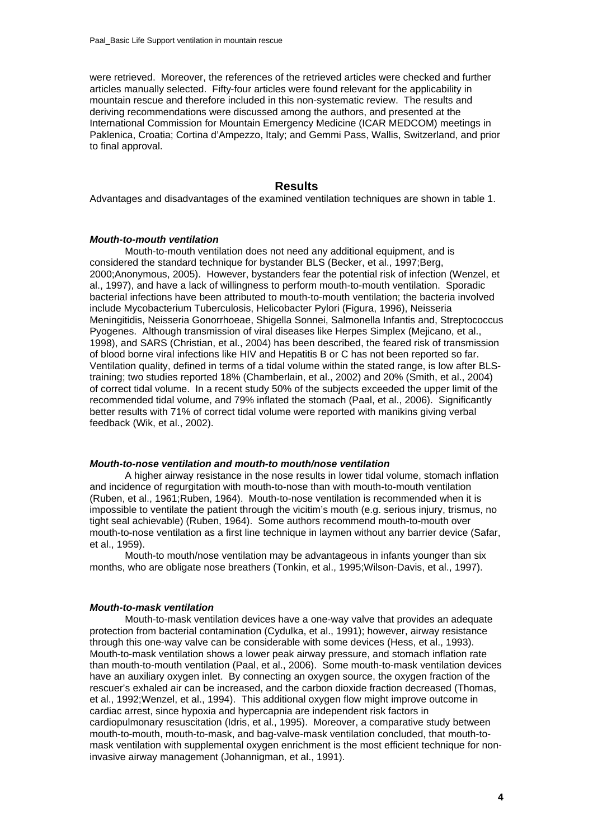were retrieved. Moreover, the references of the retrieved articles were checked and further articles manually selected. Fifty-four articles were found relevant for the applicability in mountain rescue and therefore included in this non-systematic review. The results and deriving recommendations were discussed among the authors, and presented at the International Commission for Mountain Emergency Medicine (ICAR MEDCOM) meetings in Paklenica, Croatia; Cortina d'Ampezzo, Italy; and Gemmi Pass, Wallis, Switzerland, and prior to final approval.

# **Results**

Advantages and disadvantages of the examined ventilation techniques are shown in table 1.

#### *Mouth-to-mouth ventilation*

Mouth-to-mouth ventilation does not need any additional equipment, and is considered the standard technique for bystander BLS (Becker, et al., 1997;Berg, 2000;Anonymous, 2005). However, bystanders fear the potential risk of infection (Wenzel, et al., 1997), and have a lack of willingness to perform mouth-to-mouth ventilation. Sporadic bacterial infections have been attributed to mouth-to-mouth ventilation; the bacteria involved include Mycobacterium Tuberculosis, Helicobacter Pylori (Figura, 1996), Neisseria Meningitidis, Neisseria Gonorrhoeae, Shigella Sonnei, Salmonella Infantis and, Streptococcus Pyogenes. Although transmission of viral diseases like Herpes Simplex (Mejicano, et al., 1998), and SARS (Christian, et al., 2004) has been described, the feared risk of transmission of blood borne viral infections like HIV and Hepatitis B or C has not been reported so far. Ventilation quality, defined in terms of a tidal volume within the stated range, is low after BLStraining; two studies reported 18% (Chamberlain, et al., 2002) and 20% (Smith, et al., 2004) of correct tidal volume. In a recent study 50% of the subjects exceeded the upper limit of the recommended tidal volume, and 79% inflated the stomach (Paal, et al., 2006). Significantly better results with 71% of correct tidal volume were reported with manikins giving verbal feedback (Wik, et al., 2002).

## *Mouth-to-nose ventilation and mouth-to mouth/nose ventilation*

A higher airway resistance in the nose results in lower tidal volume, stomach inflation and incidence of regurgitation with mouth-to-nose than with mouth-to-mouth ventilation (Ruben, et al., 1961;Ruben, 1964). Mouth-to-nose ventilation is recommended when it is impossible to ventilate the patient through the vicitim's mouth (e.g. serious injury, trismus, no tight seal achievable) (Ruben, 1964). Some authors recommend mouth-to-mouth over mouth-to-nose ventilation as a first line technique in laymen without any barrier device (Safar, et al., 1959).

Mouth-to mouth/nose ventilation may be advantageous in infants younger than six months, who are obligate nose breathers (Tonkin, et al., 1995;Wilson-Davis, et al., 1997).

#### *Mouth-to-mask ventilation*

Mouth-to-mask ventilation devices have a one-way valve that provides an adequate protection from bacterial contamination (Cydulka, et al., 1991); however, airway resistance through this one-way valve can be considerable with some devices (Hess, et al., 1993). Mouth-to-mask ventilation shows a lower peak airway pressure, and stomach inflation rate than mouth-to-mouth ventilation (Paal, et al., 2006). Some mouth-to-mask ventilation devices have an auxiliary oxygen inlet. By connecting an oxygen source, the oxygen fraction of the rescuer's exhaled air can be increased, and the carbon dioxide fraction decreased (Thomas, et al., 1992;Wenzel, et al., 1994). This additional oxygen flow might improve outcome in cardiac arrest, since hypoxia and hypercapnia are independent risk factors in cardiopulmonary resuscitation (Idris, et al., 1995). Moreover, a comparative study between mouth-to-mouth, mouth-to-mask, and bag-valve-mask ventilation concluded, that mouth-tomask ventilation with supplemental oxygen enrichment is the most efficient technique for noninvasive airway management (Johannigman, et al., 1991).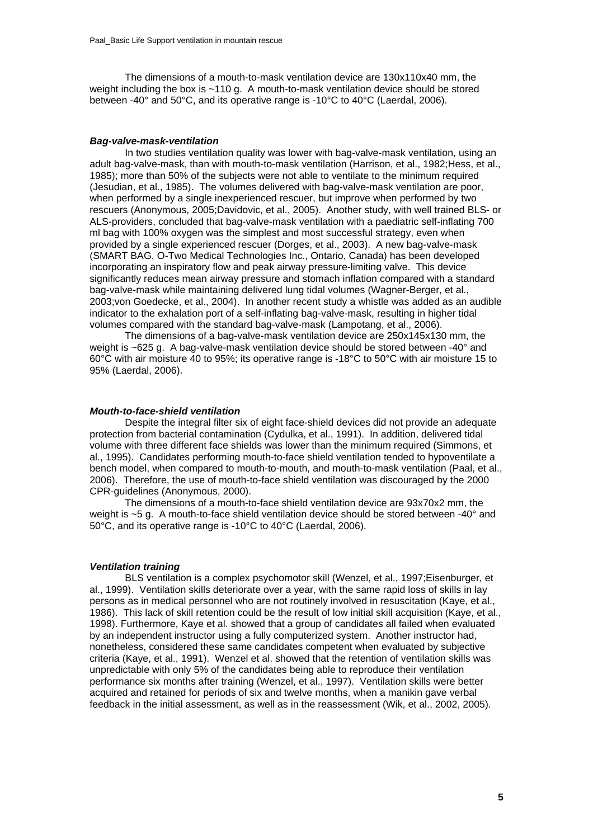The dimensions of a mouth-to-mask ventilation device are 130x110x40 mm, the weight including the box is ~110 g. A mouth-to-mask ventilation device should be stored between -40° and 50°C, and its operative range is -10°C to 40°C (Laerdal, 2006).

#### *Bag-valve-mask-ventilation*

In two studies ventilation quality was lower with bag-valve-mask ventilation, using an adult bag-valve-mask, than with mouth-to-mask ventilation (Harrison, et al., 1982;Hess, et al., 1985); more than 50% of the subjects were not able to ventilate to the minimum required (Jesudian, et al., 1985). The volumes delivered with bag-valve-mask ventilation are poor, when performed by a single inexperienced rescuer, but improve when performed by two rescuers (Anonymous, 2005;Davidovic, et al., 2005). Another study, with well trained BLS- or ALS-providers, concluded that bag-valve-mask ventilation with a paediatric self-inflating 700 ml bag with 100% oxygen was the simplest and most successful strategy, even when provided by a single experienced rescuer (Dorges, et al., 2003). A new bag-valve-mask (SMART BAG, O-Two Medical Technologies Inc., Ontario, Canada) has been developed incorporating an inspiratory flow and peak airway pressure-limiting valve. This device significantly reduces mean airway pressure and stomach inflation compared with a standard bag-valve-mask while maintaining delivered lung tidal volumes (Wagner-Berger, et al., 2003;von Goedecke, et al., 2004). In another recent study a whistle was added as an audible indicator to the exhalation port of a self-inflating bag-valve-mask, resulting in higher tidal volumes compared with the standard bag-valve-mask (Lampotang, et al., 2006).

The dimensions of a bag-valve-mask ventilation device are 250x145x130 mm, the weight is ~625 g. A bag-valve-mask ventilation device should be stored between -40° and 60°C with air moisture 40 to 95%; its operative range is -18°C to 50°C with air moisture 15 to 95% (Laerdal, 2006).

#### *Mouth-to-face-shield ventilation*

Despite the integral filter six of eight face-shield devices did not provide an adequate protection from bacterial contamination (Cydulka, et al., 1991). In addition, delivered tidal volume with three different face shields was lower than the minimum required (Simmons, et al., 1995). Candidates performing mouth-to-face shield ventilation tended to hypoventilate a bench model, when compared to mouth-to-mouth, and mouth-to-mask ventilation (Paal, et al., 2006). Therefore, the use of mouth-to-face shield ventilation was discouraged by the 2000 CPR-guidelines (Anonymous, 2000).

The dimensions of a mouth-to-face shield ventilation device are 93x70x2 mm, the weight is ~5 g. A mouth-to-face shield ventilation device should be stored between -40° and 50°C, and its operative range is -10°C to 40°C (Laerdal, 2006).

### *Ventilation training*

BLS ventilation is a complex psychomotor skill (Wenzel, et al., 1997;Eisenburger, et al., 1999). Ventilation skills deteriorate over a year, with the same rapid loss of skills in lay persons as in medical personnel who are not routinely involved in resuscitation (Kaye, et al., 1986). This lack of skill retention could be the result of low initial skill acquisition (Kaye, et al., 1998). Furthermore, Kaye et al. showed that a group of candidates all failed when evaluated by an independent instructor using a fully computerized system. Another instructor had, nonetheless, considered these same candidates competent when evaluated by subjective criteria (Kaye, et al., 1991). Wenzel et al. showed that the retention of ventilation skills was unpredictable with only 5% of the candidates being able to reproduce their ventilation performance six months after training (Wenzel, et al., 1997). Ventilation skills were better acquired and retained for periods of six and twelve months, when a manikin gave verbal feedback in the initial assessment, as well as in the reassessment (Wik, et al., 2002, 2005).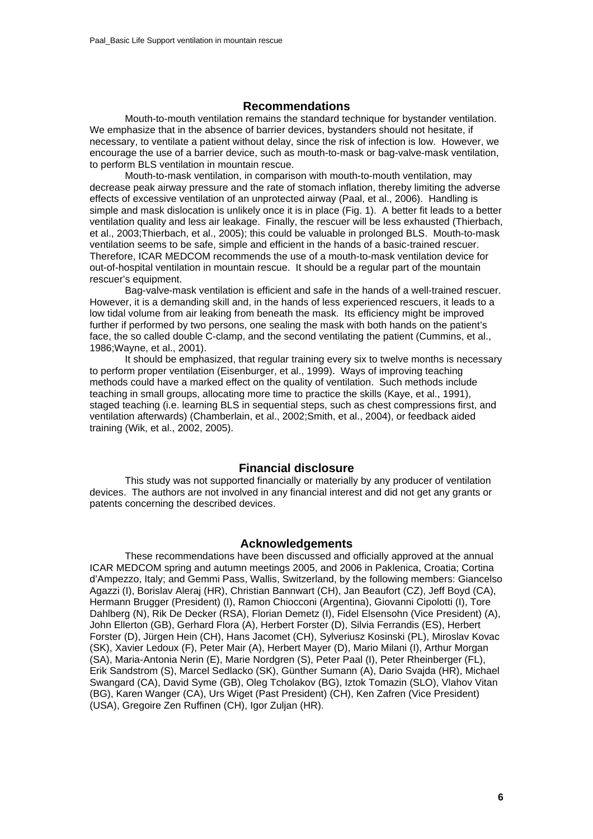# **Recommendations**

Mouth-to-mouth ventilation remains the standard technique for bystander ventilation. We emphasize that in the absence of barrier devices, bystanders should not hesitate, if necessary, to ventilate a patient without delay, since the risk of infection is low. However, we encourage the use of a barrier device, such as mouth-to-mask or bag-valve-mask ventilation, to perform BLS ventilation in mountain rescue.

Mouth-to-mask ventilation, in comparison with mouth-to-mouth ventilation, may decrease peak airway pressure and the rate of stomach inflation, thereby limiting the adverse effects of excessive ventilation of an unprotected airway (Paal, et al., 2006). Handling is simple and mask dislocation is unlikely once it is in place (Fig. 1). A better fit leads to a better ventilation quality and less air leakage. Finally, the rescuer will be less exhausted (Thierbach, et al., 2003;Thierbach, et al., 2005); this could be valuable in prolonged BLS. Mouth-to-mask ventilation seems to be safe, simple and efficient in the hands of a basic-trained rescuer. Therefore, ICAR MEDCOM recommends the use of a mouth-to-mask ventilation device for out-of-hospital ventilation in mountain rescue. It should be a regular part of the mountain rescuer's equipment.

Bag-valve-mask ventilation is efficient and safe in the hands of a well-trained rescuer. However, it is a demanding skill and, in the hands of less experienced rescuers, it leads to a low tidal volume from air leaking from beneath the mask. Its efficiency might be improved further if performed by two persons, one sealing the mask with both hands on the patient's face, the so called double C-clamp, and the second ventilating the patient (Cummins, et al., 1986;Wayne, et al., 2001).

It should be emphasized, that regular training every six to twelve months is necessary to perform proper ventilation (Eisenburger, et al., 1999). Ways of improving teaching methods could have a marked effect on the quality of ventilation. Such methods include teaching in small groups, allocating more time to practice the skills (Kaye, et al., 1991), staged teaching (i.e. learning BLS in sequential steps, such as chest compressions first, and ventilation afterwards) (Chamberlain, et al., 2002;Smith, et al., 2004), or feedback aided training (Wik, et al., 2002, 2005).

## **Financial disclosure**

This study was not supported financially or materially by any producer of ventilation devices. The authors are not involved in any financial interest and did not get any grants or patents concerning the described devices.

## **Acknowledgements**

These recommendations have been discussed and officially approved at the annual ICAR MEDCOM spring and autumn meetings 2005, and 2006 in Paklenica, Croatia; Cortina d'Ampezzo, Italy; and Gemmi Pass, Wallis, Switzerland, by the following members: Giancelso Agazzi (I), Borislav Aleraj (HR), Christian Bannwart (CH), Jan Beaufort (CZ), Jeff Boyd (CA), Hermann Brugger (President) (I), Ramon Chiocconi (Argentina), Giovanni Cipolotti (I), Tore Dahlberg (N), Rik De Decker (RSA), Florian Demetz (I), Fidel Elsensohn (Vice President) (A), John Ellerton (GB), Gerhard Flora (A), Herbert Forster (D), Silvia Ferrandis (ES), Herbert Forster (D), Jürgen Hein (CH), Hans Jacomet (CH), Sylveriusz Kosinski (PL), Miroslav Kovac (SK), Xavier Ledoux (F), Peter Mair (A), Herbert Mayer (D), Mario Milani (I), Arthur Morgan (SA), Maria-Antonia Nerin (E), Marie Nordgren (S), Peter Paal (I), Peter Rheinberger (FL), Erik Sandstrom (S), Marcel Sedlacko (SK), Günther Sumann (A), Dario Svajda (HR), Michael Swangard (CA), David Syme (GB), Oleg Tcholakov (BG), Iztok Tomazin (SLO), Vlahov Vitan (BG), Karen Wanger (CA), Urs Wiget (Past President) (CH), Ken Zafren (Vice President) (USA), Gregoire Zen Ruffinen (CH), Igor Zuljan (HR).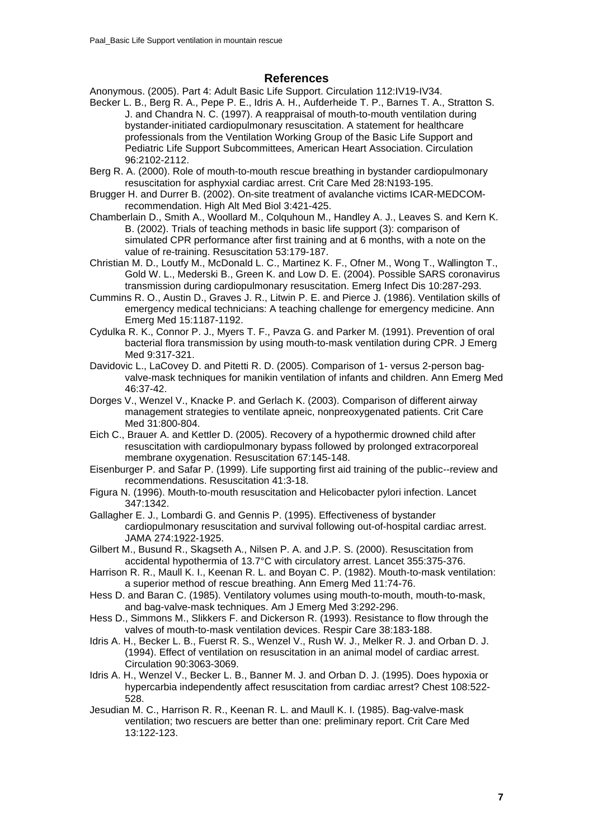# **References**

Anonymous. (2005). Part 4: Adult Basic Life Support. Circulation 112:IV19-IV34.

- Becker L. B., Berg R. A., Pepe P. E., Idris A. H., Aufderheide T. P., Barnes T. A., Stratton S. J. and Chandra N. C. (1997). A reappraisal of mouth-to-mouth ventilation during bystander-initiated cardiopulmonary resuscitation. A statement for healthcare professionals from the Ventilation Working Group of the Basic Life Support and Pediatric Life Support Subcommittees, American Heart Association. Circulation 96:2102-2112.
- Berg R. A. (2000). Role of mouth-to-mouth rescue breathing in bystander cardiopulmonary resuscitation for asphyxial cardiac arrest. Crit Care Med 28:N193-195.
- Brugger H. and Durrer B. (2002). On-site treatment of avalanche victims ICAR-MEDCOMrecommendation. High Alt Med Biol 3:421-425.
- Chamberlain D., Smith A., Woollard M., Colquhoun M., Handley A. J., Leaves S. and Kern K. B. (2002). Trials of teaching methods in basic life support (3): comparison of simulated CPR performance after first training and at 6 months, with a note on the value of re-training. Resuscitation 53:179-187.
- Christian M. D., Loutfy M., McDonald L. C., Martinez K. F., Ofner M., Wong T., Wallington T., Gold W. L., Mederski B., Green K. and Low D. E. (2004). Possible SARS coronavirus transmission during cardiopulmonary resuscitation. Emerg Infect Dis 10:287-293.
- Cummins R. O., Austin D., Graves J. R., Litwin P. E. and Pierce J. (1986). Ventilation skills of emergency medical technicians: A teaching challenge for emergency medicine. Ann Emerg Med 15:1187-1192.
- Cydulka R. K., Connor P. J., Myers T. F., Pavza G. and Parker M. (1991). Prevention of oral bacterial flora transmission by using mouth-to-mask ventilation during CPR. J Emerg Med 9:317-321.
- Davidovic L., LaCovey D. and Pitetti R. D. (2005). Comparison of 1- versus 2-person bagvalve-mask techniques for manikin ventilation of infants and children. Ann Emerg Med 46:37-42.
- Dorges V., Wenzel V., Knacke P. and Gerlach K. (2003). Comparison of different airway management strategies to ventilate apneic, nonpreoxygenated patients. Crit Care Med 31:800-804.
- Eich C., Brauer A. and Kettler D. (2005). Recovery of a hypothermic drowned child after resuscitation with cardiopulmonary bypass followed by prolonged extracorporeal membrane oxygenation. Resuscitation 67:145-148.
- Eisenburger P. and Safar P. (1999). Life supporting first aid training of the public--review and recommendations. Resuscitation 41:3-18.
- Figura N. (1996). Mouth-to-mouth resuscitation and Helicobacter pylori infection. Lancet 347:1342.
- Gallagher E. J., Lombardi G. and Gennis P. (1995). Effectiveness of bystander cardiopulmonary resuscitation and survival following out-of-hospital cardiac arrest. JAMA 274:1922-1925.
- Gilbert M., Busund R., Skagseth A., Nilsen P. A. and J.P. S. (2000). Resuscitation from accidental hypothermia of 13.7°C with circulatory arrest. Lancet 355:375-376.
- Harrison R. R., Maull K. I., Keenan R. L. and Boyan C. P. (1982). Mouth-to-mask ventilation: a superior method of rescue breathing. Ann Emerg Med 11:74-76.
- Hess D. and Baran C. (1985). Ventilatory volumes using mouth-to-mouth, mouth-to-mask, and bag-valve-mask techniques. Am J Emerg Med 3:292-296.
- Hess D., Simmons M., Slikkers F. and Dickerson R. (1993). Resistance to flow through the valves of mouth-to-mask ventilation devices. Respir Care 38:183-188.
- Idris A. H., Becker L. B., Fuerst R. S., Wenzel V., Rush W. J., Melker R. J. and Orban D. J. (1994). Effect of ventilation on resuscitation in an animal model of cardiac arrest. Circulation 90:3063-3069.
- Idris A. H., Wenzel V., Becker L. B., Banner M. J. and Orban D. J. (1995). Does hypoxia or hypercarbia independently affect resuscitation from cardiac arrest? Chest 108:522- 528.
- Jesudian M. C., Harrison R. R., Keenan R. L. and Maull K. I. (1985). Bag-valve-mask ventilation; two rescuers are better than one: preliminary report. Crit Care Med 13:122-123.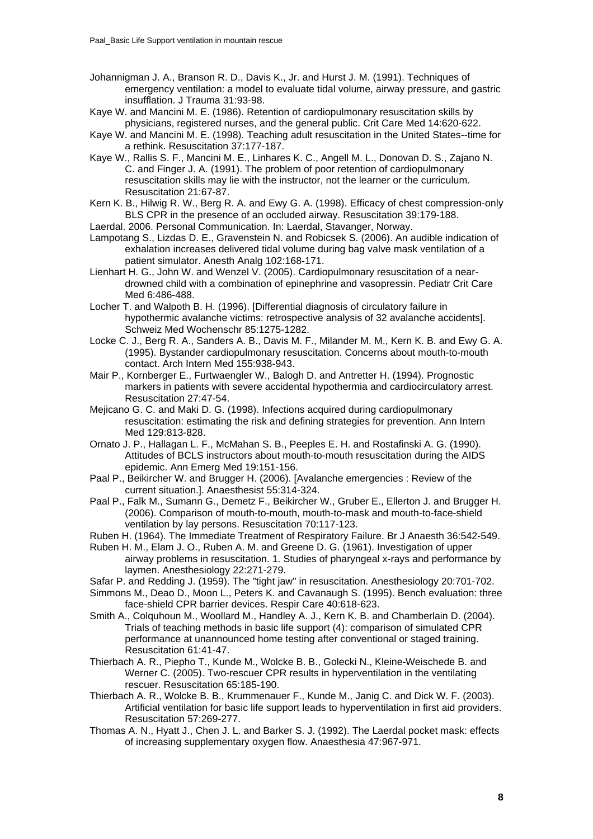- Johannigman J. A., Branson R. D., Davis K., Jr. and Hurst J. M. (1991). Techniques of emergency ventilation: a model to evaluate tidal volume, airway pressure, and gastric insufflation. J Trauma 31:93-98.
- Kaye W. and Mancini M. E. (1986). Retention of cardiopulmonary resuscitation skills by physicians, registered nurses, and the general public. Crit Care Med 14:620-622.
- Kaye W. and Mancini M. E. (1998). Teaching adult resuscitation in the United States--time for a rethink. Resuscitation 37:177-187.
- Kaye W., Rallis S. F., Mancini M. E., Linhares K. C., Angell M. L., Donovan D. S., Zajano N. C. and Finger J. A. (1991). The problem of poor retention of cardiopulmonary resuscitation skills may lie with the instructor, not the learner or the curriculum. Resuscitation 21:67-87.
- Kern K. B., Hilwig R. W., Berg R. A. and Ewy G. A. (1998). Efficacy of chest compression-only BLS CPR in the presence of an occluded airway. Resuscitation 39:179-188.

Laerdal. 2006. Personal Communication. In: Laerdal, Stavanger, Norway.

- Lampotang S., Lizdas D. E., Gravenstein N. and Robicsek S. (2006). An audible indication of exhalation increases delivered tidal volume during bag valve mask ventilation of a patient simulator. Anesth Analg 102:168-171.
- Lienhart H. G., John W. and Wenzel V. (2005). Cardiopulmonary resuscitation of a neardrowned child with a combination of epinephrine and vasopressin. Pediatr Crit Care Med 6:486-488.
- Locher T. and Walpoth B. H. (1996). [Differential diagnosis of circulatory failure in hypothermic avalanche victims: retrospective analysis of 32 avalanche accidents]. Schweiz Med Wochenschr 85:1275-1282.
- Locke C. J., Berg R. A., Sanders A. B., Davis M. F., Milander M. M., Kern K. B. and Ewy G. A. (1995). Bystander cardiopulmonary resuscitation. Concerns about mouth-to-mouth contact. Arch Intern Med 155:938-943.
- Mair P., Kornberger E., Furtwaengler W., Balogh D. and Antretter H. (1994). Prognostic markers in patients with severe accidental hypothermia and cardiocirculatory arrest. Resuscitation 27:47-54.
- Mejicano G. C. and Maki D. G. (1998). Infections acquired during cardiopulmonary resuscitation: estimating the risk and defining strategies for prevention. Ann Intern Med 129:813-828.
- Ornato J. P., Hallagan L. F., McMahan S. B., Peeples E. H. and Rostafinski A. G. (1990). Attitudes of BCLS instructors about mouth-to-mouth resuscitation during the AIDS epidemic. Ann Emerg Med 19:151-156.
- Paal P., Beikircher W. and Brugger H. (2006). [Avalanche emergencies : Review of the current situation.]. Anaesthesist 55:314-324.
- Paal P., Falk M., Sumann G., Demetz F., Beikircher W., Gruber E., Ellerton J. and Brugger H. (2006). Comparison of mouth-to-mouth, mouth-to-mask and mouth-to-face-shield ventilation by lay persons. Resuscitation 70:117-123.
- Ruben H. (1964). The Immediate Treatment of Respiratory Failure. Br J Anaesth 36:542-549.
- Ruben H. M., Elam J. O., Ruben A. M. and Greene D. G. (1961). Investigation of upper airway problems in resuscitation. 1. Studies of pharyngeal x-rays and performance by laymen. Anesthesiology 22:271-279.
- Safar P. and Redding J. (1959). The "tight jaw" in resuscitation. Anesthesiology 20:701-702.
- Simmons M., Deao D., Moon L., Peters K. and Cavanaugh S. (1995). Bench evaluation: three face-shield CPR barrier devices. Respir Care 40:618-623.
- Smith A., Colquhoun M., Woollard M., Handley A. J., Kern K. B. and Chamberlain D. (2004). Trials of teaching methods in basic life support (4): comparison of simulated CPR performance at unannounced home testing after conventional or staged training. Resuscitation 61:41-47.
- Thierbach A. R., Piepho T., Kunde M., Wolcke B. B., Golecki N., Kleine-Weischede B. and Werner C. (2005). Two-rescuer CPR results in hyperventilation in the ventilating rescuer. Resuscitation 65:185-190.
- Thierbach A. R., Wolcke B. B., Krummenauer F., Kunde M., Janig C. and Dick W. F. (2003). Artificial ventilation for basic life support leads to hyperventilation in first aid providers. Resuscitation 57:269-277.
- Thomas A. N., Hyatt J., Chen J. L. and Barker S. J. (1992). The Laerdal pocket mask: effects of increasing supplementary oxygen flow. Anaesthesia 47:967-971.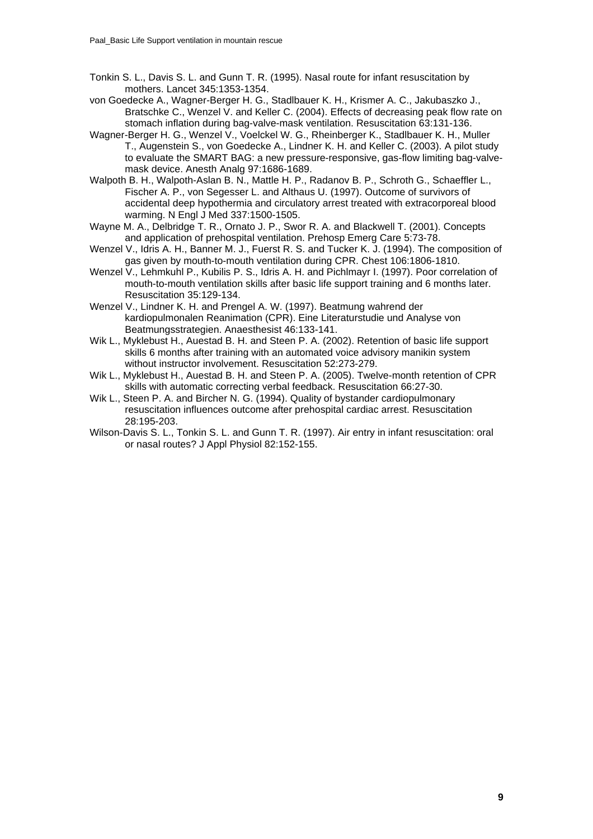- Tonkin S. L., Davis S. L. and Gunn T. R. (1995). Nasal route for infant resuscitation by mothers. Lancet 345:1353-1354.
- von Goedecke A., Wagner-Berger H. G., Stadlbauer K. H., Krismer A. C., Jakubaszko J., Bratschke C., Wenzel V. and Keller C. (2004). Effects of decreasing peak flow rate on stomach inflation during bag-valve-mask ventilation. Resuscitation 63:131-136.
- Wagner-Berger H. G., Wenzel V., Voelckel W. G., Rheinberger K., Stadlbauer K. H., Muller T., Augenstein S., von Goedecke A., Lindner K. H. and Keller C. (2003). A pilot study to evaluate the SMART BAG: a new pressure-responsive, gas-flow limiting bag-valvemask device. Anesth Analg 97:1686-1689.
- Walpoth B. H., Walpoth-Aslan B. N., Mattle H. P., Radanov B. P., Schroth G., Schaeffler L., Fischer A. P., von Segesser L. and Althaus U. (1997). Outcome of survivors of accidental deep hypothermia and circulatory arrest treated with extracorporeal blood warming. N Engl J Med 337:1500-1505.
- Wayne M. A., Delbridge T. R., Ornato J. P., Swor R. A. and Blackwell T. (2001). Concepts and application of prehospital ventilation. Prehosp Emerg Care 5:73-78.
- Wenzel V., Idris A. H., Banner M. J., Fuerst R. S. and Tucker K. J. (1994). The composition of gas given by mouth-to-mouth ventilation during CPR. Chest 106:1806-1810.
- Wenzel V., Lehmkuhl P., Kubilis P. S., Idris A. H. and Pichlmayr I. (1997). Poor correlation of mouth-to-mouth ventilation skills after basic life support training and 6 months later. Resuscitation 35:129-134.
- Wenzel V., Lindner K. H. and Prengel A. W. (1997). Beatmung wahrend der kardiopulmonalen Reanimation (CPR). Eine Literaturstudie und Analyse von Beatmungsstrategien. Anaesthesist 46:133-141.
- Wik L., Myklebust H., Auestad B. H. and Steen P. A. (2002). Retention of basic life support skills 6 months after training with an automated voice advisory manikin system without instructor involvement. Resuscitation 52:273-279.
- Wik L., Myklebust H., Auestad B. H. and Steen P. A. (2005). Twelve-month retention of CPR skills with automatic correcting verbal feedback. Resuscitation 66:27-30.
- Wik L., Steen P. A. and Bircher N. G. (1994). Quality of bystander cardiopulmonary resuscitation influences outcome after prehospital cardiac arrest. Resuscitation 28:195-203.
- Wilson-Davis S. L., Tonkin S. L. and Gunn T. R. (1997). Air entry in infant resuscitation: oral or nasal routes? J Appl Physiol 82:152-155.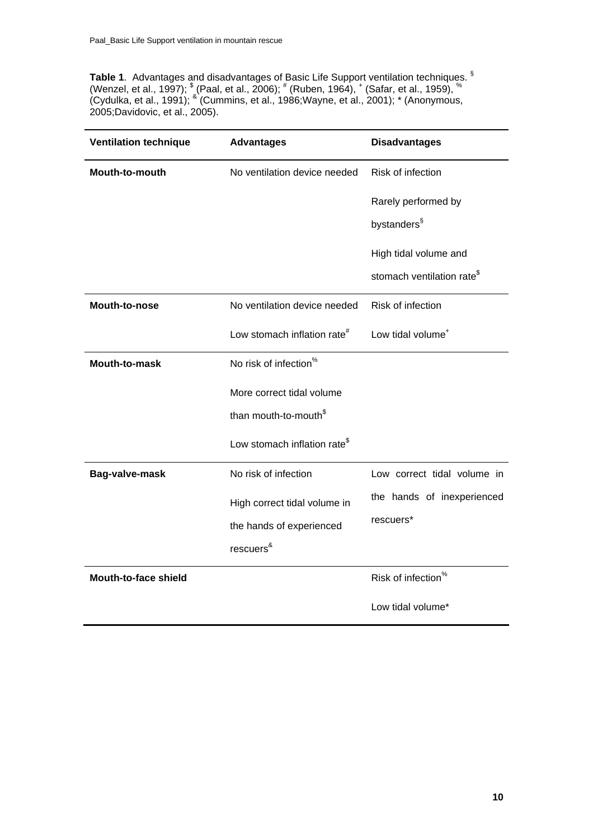**Table 1**. Advantages and disadvantages of Basic Life Support ventilation techniques. § (Wenzel, et al., 1997);  $\text{\textdegree}$  (Paal, et al., 2006);  $\text{\textdegree}$  (Ruben, 1964),  $\text{\textdegree}$  (Safar, et al., 1959),  $\text{\textdegree}$ (Cydulka, et al., 1991); <sup>&</sup> (Cummins, et al., 1986;Wayne, et al., 2001); \* (Anonymous, 2005;Davidovic, et al., 2005).

| <b>Ventilation technique</b> | <b>Advantages</b>                        | <b>Disadvantages</b>                   |
|------------------------------|------------------------------------------|----------------------------------------|
| <b>Mouth-to-mouth</b>        | No ventilation device needed             | Risk of infection                      |
|                              |                                          | Rarely performed by                    |
|                              |                                          | bystanders <sup>§</sup>                |
|                              |                                          | High tidal volume and                  |
|                              |                                          | stomach ventilation rate <sup>\$</sup> |
| Mouth-to-nose                | No ventilation device needed             | Risk of infection                      |
|                              | Low stomach inflation rate <sup>#</sup>  | Low tidal volume <sup>+</sup>          |
| Mouth-to-mask                | No risk of infection <sup>%</sup>        |                                        |
|                              | More correct tidal volume                |                                        |
|                              | than mouth-to-mouth <sup>\$</sup>        |                                        |
|                              | Low stomach inflation rate <sup>\$</sup> |                                        |
| Bag-valve-mask               | No risk of infection                     | Low correct tidal volume in            |
|                              | High correct tidal volume in             | the hands of inexperienced             |
|                              | the hands of experienced                 | rescuers*                              |
|                              | rescuers <sup>&amp;</sup>                |                                        |
| Mouth-to-face shield         |                                          | Risk of infection <sup>%</sup>         |
|                              |                                          | Low tidal volume*                      |